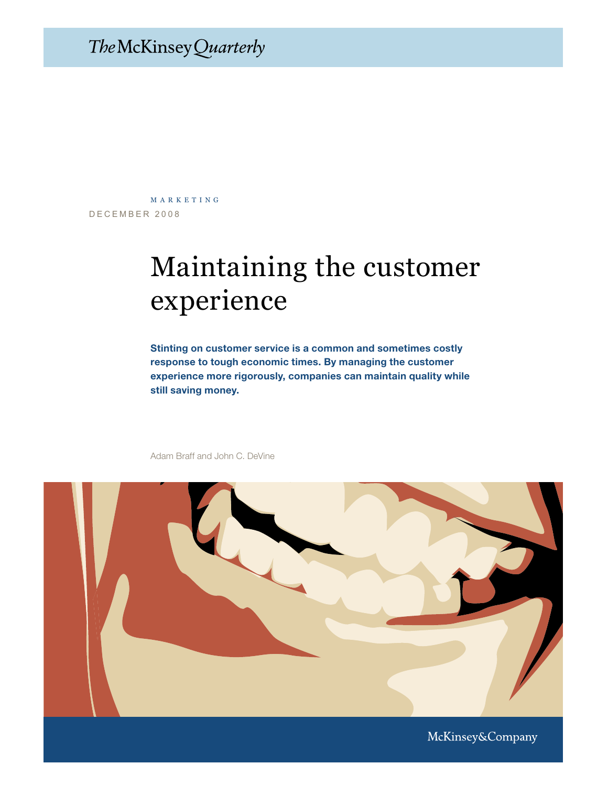## The McKinsey Quarterly

DECEMBER 2008 m a r k e t i n g

# Maintaining the customer experience

Stinting on customer service is a common and sometimes costly response to tough economic times. By managing the customer experience more rigorously, companies can maintain quality while still saving money.



Adam Braff and John C. DeVine

McKinsey&Company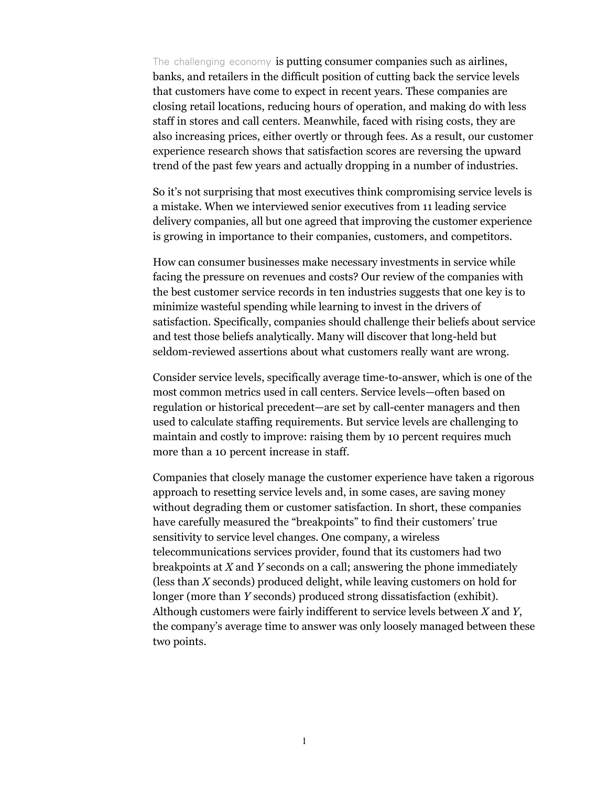The challenging economy is putting consumer companies such as airlines, banks, and retailers in the difficult position of cutting back the service levels that customers have come to expect in recent years. These companies are closing retail locations, reducing hours of operation, and making do with less staff in stores and call centers. Meanwhile, faced with rising costs, they are also increasing prices, either overtly or through fees. As a result, our customer experience research shows that satisfaction scores are reversing the upward trend of the past few years and actually dropping in a number of industries.

So it's not surprising that most executives think compromising service levels is a mistake. When we interviewed senior executives from 11 leading service delivery companies, all but one agreed that improving the customer experience is growing in importance to their companies, customers, and competitors.

How can consumer businesses make necessary investments in service while facing the pressure on revenues and costs? Our review of the companies with the best customer service records in ten industries suggests that one key is to minimize wasteful spending while learning to invest in the drivers of satisfaction. Specifically, companies should challenge their beliefs about service and test those beliefs analytically. Many will discover that long-held but seldom-reviewed assertions about what customers really want are wrong.

Consider service levels, specifically average time-to-answer, which is one of the most common metrics used in call centers. Service levels—often based on regulation or historical precedent—are set by call-center managers and then used to calculate staffing requirements. But service levels are challenging to maintain and costly to improve: raising them by 10 percent requires much more than a 10 percent increase in staff.

Companies that closely manage the customer experience have taken a rigorous approach to resetting service levels and, in some cases, are saving money without degrading them or customer satisfaction. In short, these companies have carefully measured the "breakpoints" to find their customers' true sensitivity to service level changes. One company, a wireless telecommunications services provider, found that its customers had two breakpoints at *X* and *Y* seconds on a call; answering the phone immediately (less than *X* seconds) produced delight, while leaving customers on hold for longer (more than *Y* seconds) produced strong dissatisfaction (exhibit). Although customers were fairly indifferent to service levels between *X* and *Y*, the company's average time to answer was only loosely managed between these two points.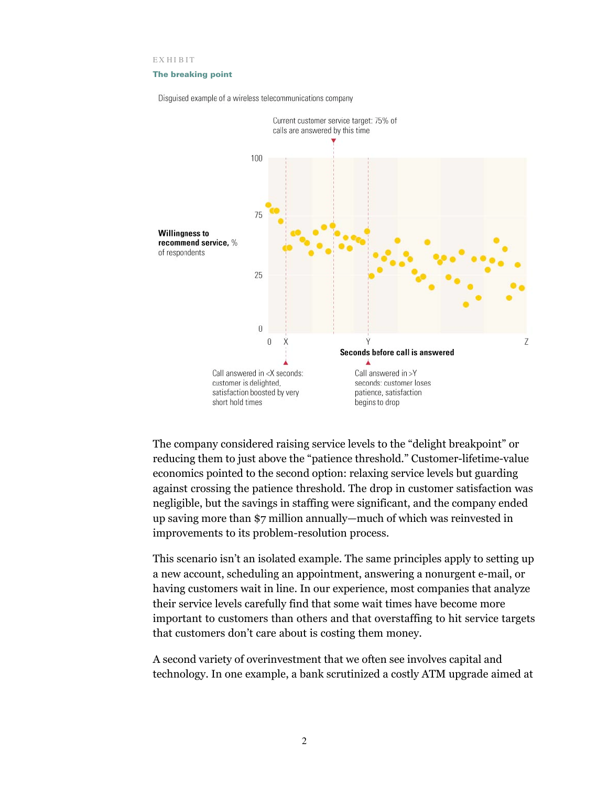EX HIBIT

#### The breaking point

Disguised example of a wireless telecommunications company



The company considered raising service levels to the "delight breakpoint" or reducing them to just above the "patience threshold." Customer-lifetime-value economics pointed to the second option: relaxing service levels but guarding against crossing the patience threshold. The drop in customer satisfaction was negligible, but the savings in staffing were significant, and the company ended up saving more than \$7 million annually—much of which was reinvested in improvements to its problem-resolution process.

This scenario isn't an isolated example. The same principles apply to setting up a new account, scheduling an appointment, answering a nonurgent e-mail, or having customers wait in line. In our experience, most companies that analyze their service levels carefully find that some wait times have become more important to customers than others and that overstaffing to hit service targets that customers don't care about is costing them money.

A second variety of overinvestment that we often see involves capital and technology. In one example, a bank scrutinized a costly ATM upgrade aimed at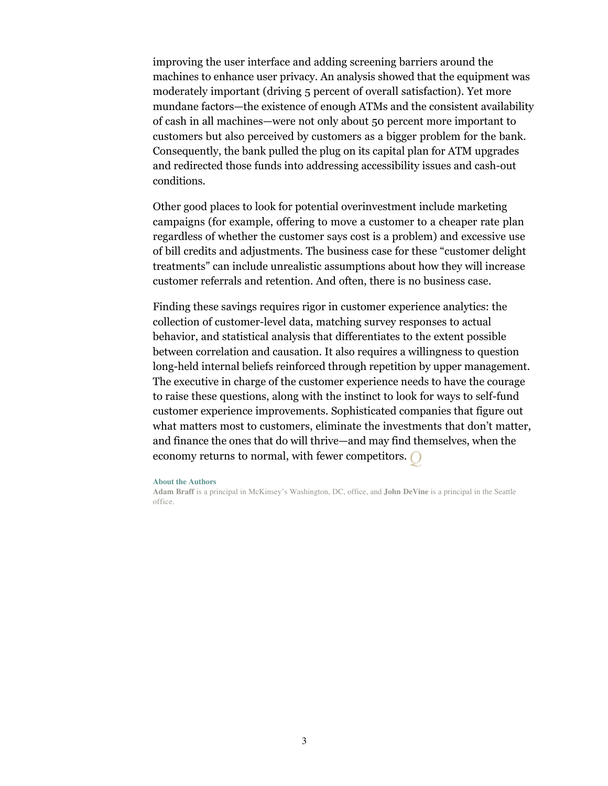improving the user interface and adding screening barriers around the machines to enhance user privacy. An analysis showed that the equipment was moderately important (driving 5 percent of overall satisfaction). Yet more mundane factors—the existence of enough ATMs and the consistent availability of cash in all machines—were not only about 50 percent more important to customers but also perceived by customers as a bigger problem for the bank. Consequently, the bank pulled the plug on its capital plan for ATM upgrades and redirected those funds into addressing accessibility issues and cash-out conditions.

Other good places to look for potential overinvestment include marketing campaigns (for example, offering to move a customer to a cheaper rate plan regardless of whether the customer says cost is a problem) and excessive use of bill credits and adjustments. The business case for these "customer delight treatments" can include unrealistic assumptions about how they will increase customer referrals and retention. And often, there is no business case.

Finding these savings requires rigor in customer experience analytics: the collection of customer-level data, matching survey responses to actual behavior, and statistical analysis that differentiates to the extent possible between correlation and causation. It also requires a willingness to question long-held internal beliefs reinforced through repetition by upper management. The executive in charge of the customer experience needs to have the courage to raise these questions, along with the instinct to look for ways to self-fund customer experience improvements. Sophisticated companies that figure out what matters most to customers, eliminate the investments that don't matter, and finance the ones that do will thrive—and may find themselves, when the economy returns to normal, with fewer competitors.

#### **About the Authors**

**Adam Braff** is a principal in McKinsey's Washington, DC, office, and **John DeVine** is a principal in the Seattle office.